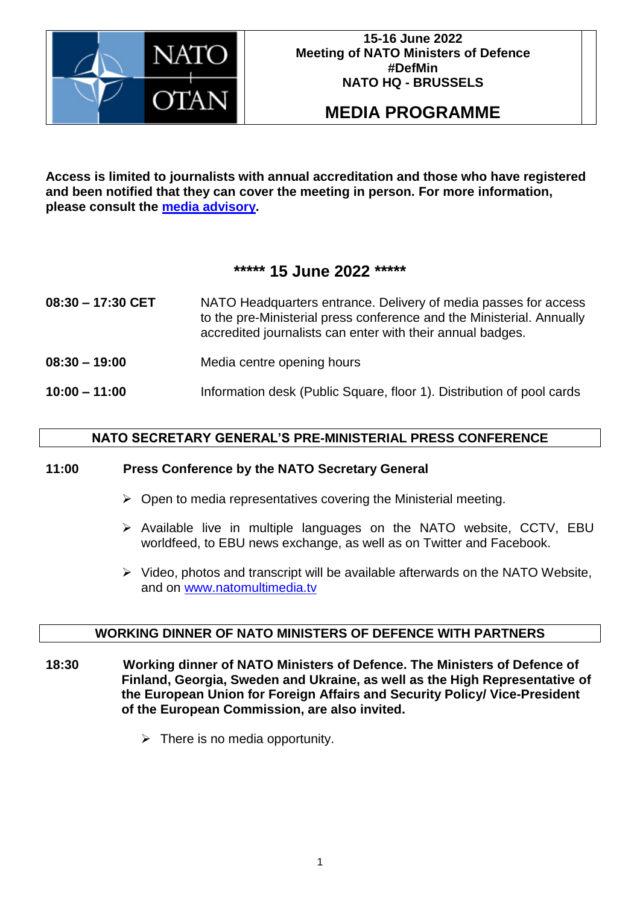

# **MEDIA PROGRAMME**

**Access is limited to journalists with annual accreditation and those who have registered and been notified that they can cover the meeting in person. For more information, please consult the [media advisory.](https://www.nato.int/cps/en/natohq/news_195886.htm)**

# **\*\*\*\*\* 15 June 2022 \*\*\*\*\***

- **08:30 – 17:30 CET** NATO Headquarters entrance. Delivery of media passes for access to the pre-Ministerial press conference and the Ministerial. Annually accredited journalists can enter with their annual badges.
- **08:30 – 19:00** Media centre opening hours
- **10:00 – 11:00** Information desk (Public Square, floor 1). Distribution of pool cards

## **NATO SECRETARY GENERAL'S PRE-MINISTERIAL PRESS CONFERENCE**

#### **11:00 Press Conference by the NATO Secretary General**

- $\triangleright$  Open to media representatives covering the Ministerial meeting.
- $\triangleright$  Available live in multiple languages on the NATO website, CCTV, EBU worldfeed, to EBU news exchange, as well as on Twitter and Facebook.
- $\triangleright$  Video, photos and transcript will be available afterwards on the NATO Website, and on www.natomultimedia.tv

#### **WORKING DINNER OF NATO MINISTERS OF DEFENCE WITH PARTNERS**

- **18:30 Working dinner of NATO Ministers of Defence. The Ministers of Defence of Finland, Georgia, Sweden and Ukraine, as well as the High Representative of the European Union for Foreign Affairs and Security Policy/ Vice-President of the European Commission, are also invited.** 
	- $\triangleright$  There is no media opportunity.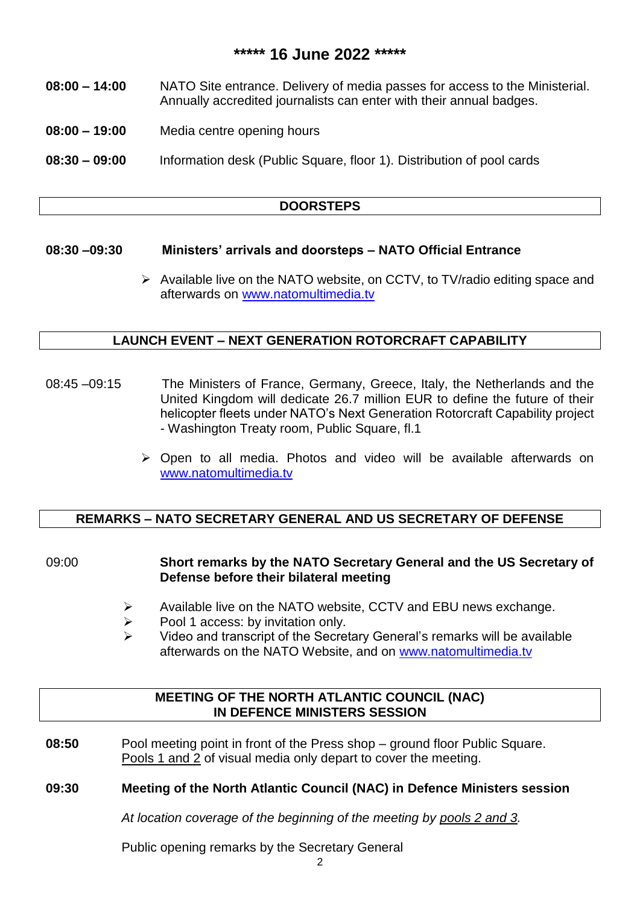## **\*\*\*\*\* 16 June 2022 \*\*\*\*\***

- **08:00 – 14:00** NATO Site entrance. Delivery of media passes for access to the Ministerial. Annually accredited journalists can enter with their annual badges.
- **08:00 – 19:00** Media centre opening hours
- **08:30 – 09:00** Information desk (Public Square, floor 1). Distribution of pool cards

#### **DOORSTEPS**

#### **08:30 –09:30 Ministers' arrivals and doorsteps – NATO Official Entrance**

 $\triangleright$  Available live on the NATO website, on CCTV, to TV/radio editing space and afterwards on www.natomultimedia.tv

#### **LAUNCH EVENT – NEXT GENERATION ROTORCRAFT CAPABILITY**

- 08:45 –09:15 The Ministers of France, Germany, Greece, Italy, the Netherlands and the United Kingdom will dedicate 26.7 million EUR to define the future of their helicopter fleets under NATO's Next Generation Rotorcraft Capability project - Washington Treaty room, Public Square, fl.1
	- Open to all media. Photos and video will be available afterwards on www.natomultimedia.tv

#### **REMARKS – NATO SECRETARY GENERAL AND US SECRETARY OF DEFENSE**

#### 09:00 **Short remarks by the NATO Secretary General and the US Secretary of Defense before their bilateral meeting**

- $\triangleright$  Available live on the NATO website, CCTV and EBU news exchange.
- $\triangleright$  Pool 1 access: by invitation only.
- $\triangleright$  Video and transcript of the Secretary General's remarks will be available afterwards on the NATO Website, and on [www.natomultimedia.tv](http://www.natomultimedia.tv/)

#### **MEETING OF THE NORTH ATLANTIC COUNCIL (NAC) IN DEFENCE MINISTERS SESSION**

**08:50** Pool meeting point in front of the Press shop – ground floor Public Square. Pools 1 and 2 of visual media only depart to cover the meeting.

## **09:30 Meeting of the North Atlantic Council (NAC) in Defence Ministers session**

*At location coverage of the beginning of the meeting by pools 2 and 3.*

Public opening remarks by the Secretary General